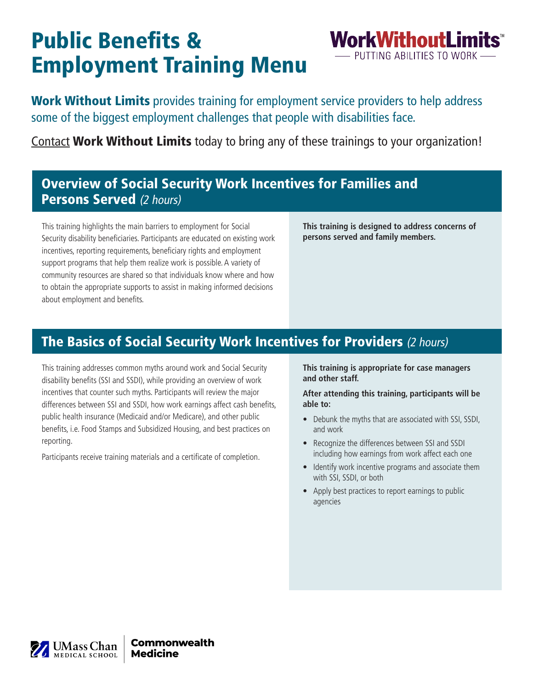# Public Benefits & Employment Training Menu

Work Without Limits provides training for employment service providers to help address some of the biggest employment challenges that people with disabilities face.

[Contact](http://www.workwithoutlimits.org/contact/) Work Without Limits today to bring any of these trainings to your organization!

## Overview of Social Security Work Incentives for Families and Persons Served (2 hours)

This training highlights the main barriers to employment for Social Security disability beneficiaries. Participants are educated on existing work incentives, reporting requirements, beneficiary rights and employment support programs that help them realize work is possible. A variety of community resources are shared so that individuals know where and how to obtain the appropriate supports to assist in making informed decisions about employment and benefits.

**This training is designed to address concerns of persons served and family members.**

**WorkWithoutLimits** PUTTING ABILITIES TO WORK

## The Basics of Social Security Work Incentives for Providers (2 hours)

This training addresses common myths around work and Social Security disability benefits (SSI and SSDI), while providing an overview of work incentives that counter such myths. Participants will review the major differences between SSI and SSDI, how work earnings affect cash benefits, public health insurance (Medicaid and/or Medicare), and other public benefits, i.e. Food Stamps and Subsidized Housing, and best practices on reporting.

Participants receive training materials and a certificate of completion.

**This training is appropriate for case managers and other staff.**

**After attending this training, participants will be able to:** 

- Debunk the myths that are associated with SSI, SSDI, and work
- Recognize the differences between SSI and SSDI including how earnings from work affect each one
- Identify work incentive programs and associate them with SSI, SSDI, or both
- Apply best practices to report earnings to public agencies

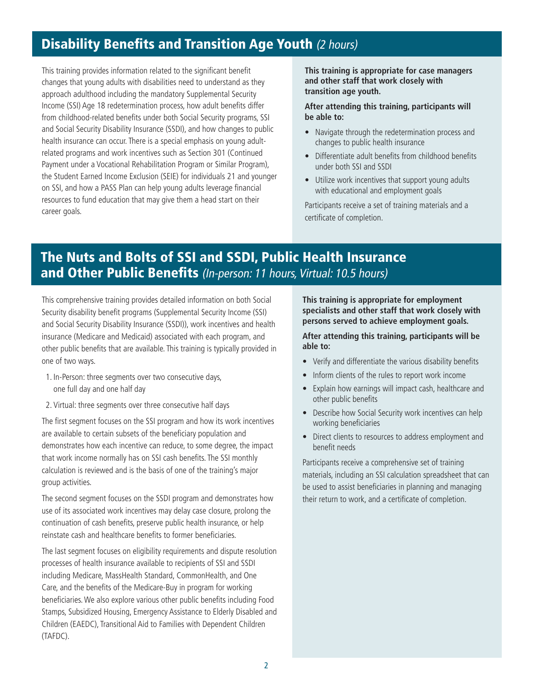#### **Disability Benefits and Transition Age Youth (2 hours)**

This training provides information related to the significant benefit changes that young adults with disabilities need to understand as they approach adulthood including the mandatory Supplemental Security Income (SSI) Age 18 redetermination process, how adult benefits differ from childhood-related benefits under both Social Security programs, SSI and Social Security Disability Insurance (SSDI), and how changes to public health insurance can occur. There is a special emphasis on young adultrelated programs and work incentives such as Section 301 (Continued Payment under a Vocational Rehabilitation Program or Similar Program), the Student Earned Income Exclusion (SEIE) for individuals 21 and younger on SSI, and how a PASS Plan can help young adults leverage financial resources to fund education that may give them a head start on their career goals.

**This training is appropriate for case managers and other staff that work closely with transition age youth.**

**After attending this training, participants will be able to:** 

- Navigate through the redetermination process and changes to public health insurance
- Differentiate adult benefits from childhood benefits under both SSI and SSDI
- Utilize work incentives that support young adults with educational and employment goals

Participants receive a set of training materials and a certificate of completion.

#### The Nuts and Bolts of SSI and SSDI, Public Health Insurance and Other Public Benefits (In-person: 11 hours, Virtual: 10.5 hours)

This comprehensive training provides detailed information on both Social Security disability benefit programs (Supplemental Security Income (SSI) and Social Security Disability Insurance (SSDI)), work incentives and health insurance (Medicare and Medicaid) associated with each program, and other public benefits that are available. This training is typically provided in one of two ways.

- 1. In-Person: three segments over two consecutive days, one full day and one half day
- 2. Virtual: three segments over three consecutive half days

The first segment focuses on the SSI program and how its work incentives are available to certain subsets of the beneficiary population and demonstrates how each incentive can reduce, to some degree, the impact that work income normally has on SSI cash benefits. The SSI monthly calculation is reviewed and is the basis of one of the training's major group activities.

The second segment focuses on the SSDI program and demonstrates how use of its associated work incentives may delay case closure, prolong the continuation of cash benefits, preserve public health insurance, or help reinstate cash and healthcare benefits to former beneficiaries.

The last segment focuses on eligibility requirements and dispute resolution processes of health insurance available to recipients of SSI and SSDI including Medicare, MassHealth Standard, CommonHealth, and One Care, and the benefits of the Medicare-Buy in program for working beneficiaries. We also explore various other public benefits including Food Stamps, Subsidized Housing, Emergency Assistance to Elderly Disabled and Children (EAEDC), Transitional Aid to Families with Dependent Children (TAFDC).

**This training is appropriate for employment specialists and other staff that work closely with persons served to achieve employment goals.** 

**After attending this training, participants will be able to:**

- Verify and differentiate the various disability benefits
- Inform clients of the rules to report work income
- Explain how earnings will impact cash, healthcare and other public benefits
- Describe how Social Security work incentives can help working beneficiaries
- Direct clients to resources to address employment and benefit needs

Participants receive a comprehensive set of training materials, including an SSI calculation spreadsheet that can be used to assist beneficiaries in planning and managing their return to work, and a certificate of completion.